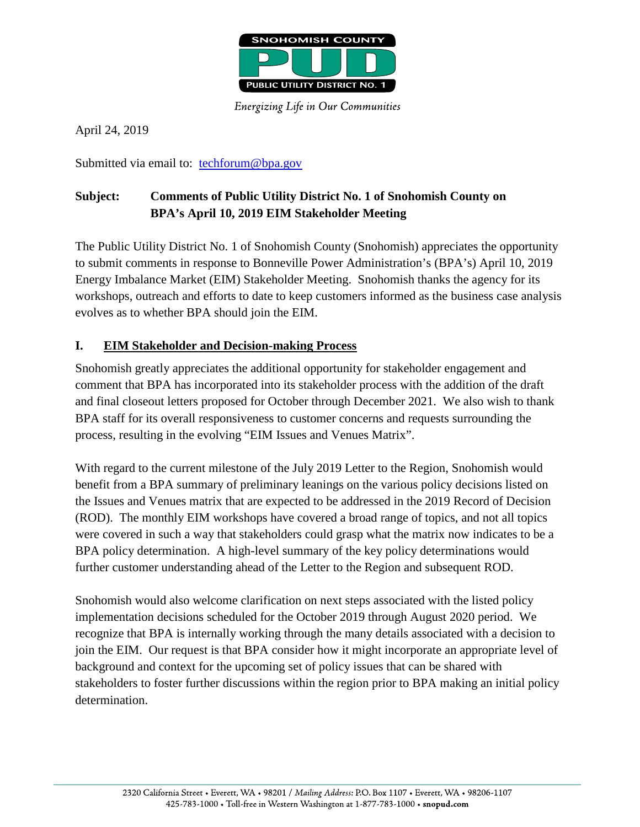

**Energizing Life in Our Communities** 

April 24, 2019

Submitted via email to: [techforum@bpa.gov](mailto:techforum@bpa.gov)

## **Subject: Comments of Public Utility District No. 1 of Snohomish County on BPA's April 10, 2019 EIM Stakeholder Meeting**

The Public Utility District No. 1 of Snohomish County (Snohomish) appreciates the opportunity to submit comments in response to Bonneville Power Administration's (BPA's) April 10, 2019 Energy Imbalance Market (EIM) Stakeholder Meeting. Snohomish thanks the agency for its workshops, outreach and efforts to date to keep customers informed as the business case analysis evolves as to whether BPA should join the EIM.

## **I. EIM Stakeholder and Decision-making Process**

Snohomish greatly appreciates the additional opportunity for stakeholder engagement and comment that BPA has incorporated into its stakeholder process with the addition of the draft and final closeout letters proposed for October through December 2021. We also wish to thank BPA staff for its overall responsiveness to customer concerns and requests surrounding the process, resulting in the evolving "EIM Issues and Venues Matrix".

With regard to the current milestone of the July 2019 Letter to the Region, Snohomish would benefit from a BPA summary of preliminary leanings on the various policy decisions listed on the Issues and Venues matrix that are expected to be addressed in the 2019 Record of Decision (ROD). The monthly EIM workshops have covered a broad range of topics, and not all topics were covered in such a way that stakeholders could grasp what the matrix now indicates to be a BPA policy determination. A high-level summary of the key policy determinations would further customer understanding ahead of the Letter to the Region and subsequent ROD.

Snohomish would also welcome clarification on next steps associated with the listed policy implementation decisions scheduled for the October 2019 through August 2020 period. We recognize that BPA is internally working through the many details associated with a decision to join the EIM. Our request is that BPA consider how it might incorporate an appropriate level of background and context for the upcoming set of policy issues that can be shared with stakeholders to foster further discussions within the region prior to BPA making an initial policy determination.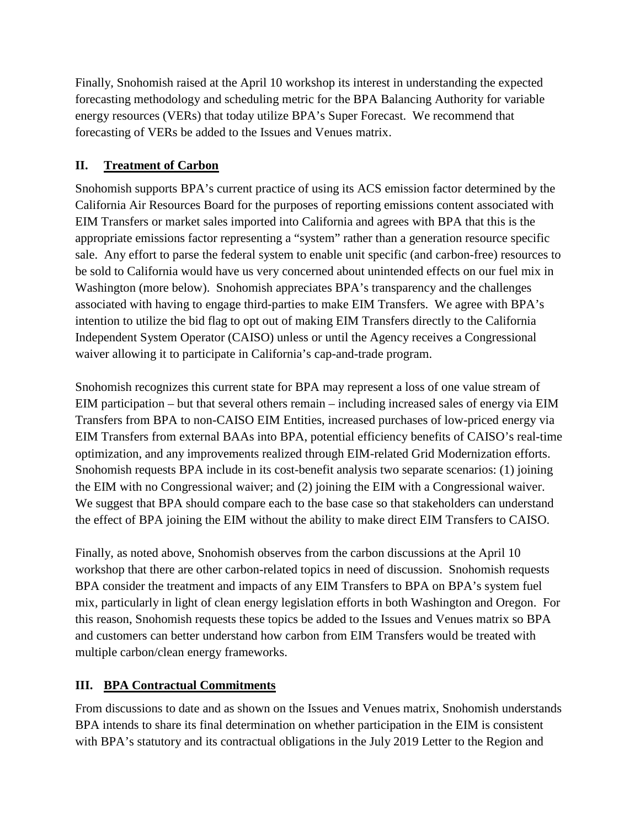Finally, Snohomish raised at the April 10 workshop its interest in understanding the expected forecasting methodology and scheduling metric for the BPA Balancing Authority for variable energy resources (VERs) that today utilize BPA's Super Forecast. We recommend that forecasting of VERs be added to the Issues and Venues matrix.

## **II. Treatment of Carbon**

Snohomish supports BPA's current practice of using its ACS emission factor determined by the California Air Resources Board for the purposes of reporting emissions content associated with EIM Transfers or market sales imported into California and agrees with BPA that this is the appropriate emissions factor representing a "system" rather than a generation resource specific sale. Any effort to parse the federal system to enable unit specific (and carbon-free) resources to be sold to California would have us very concerned about unintended effects on our fuel mix in Washington (more below). Snohomish appreciates BPA's transparency and the challenges associated with having to engage third-parties to make EIM Transfers. We agree with BPA's intention to utilize the bid flag to opt out of making EIM Transfers directly to the California Independent System Operator (CAISO) unless or until the Agency receives a Congressional waiver allowing it to participate in California's cap-and-trade program.

Snohomish recognizes this current state for BPA may represent a loss of one value stream of EIM participation – but that several others remain – including increased sales of energy via EIM Transfers from BPA to non-CAISO EIM Entities, increased purchases of low-priced energy via EIM Transfers from external BAAs into BPA, potential efficiency benefits of CAISO's real-time optimization, and any improvements realized through EIM-related Grid Modernization efforts. Snohomish requests BPA include in its cost-benefit analysis two separate scenarios: (1) joining the EIM with no Congressional waiver; and (2) joining the EIM with a Congressional waiver. We suggest that BPA should compare each to the base case so that stakeholders can understand the effect of BPA joining the EIM without the ability to make direct EIM Transfers to CAISO.

Finally, as noted above, Snohomish observes from the carbon discussions at the April 10 workshop that there are other carbon-related topics in need of discussion. Snohomish requests BPA consider the treatment and impacts of any EIM Transfers to BPA on BPA's system fuel mix, particularly in light of clean energy legislation efforts in both Washington and Oregon. For this reason, Snohomish requests these topics be added to the Issues and Venues matrix so BPA and customers can better understand how carbon from EIM Transfers would be treated with multiple carbon/clean energy frameworks.

## **III. BPA Contractual Commitments**

From discussions to date and as shown on the Issues and Venues matrix, Snohomish understands BPA intends to share its final determination on whether participation in the EIM is consistent with BPA's statutory and its contractual obligations in the July 2019 Letter to the Region and